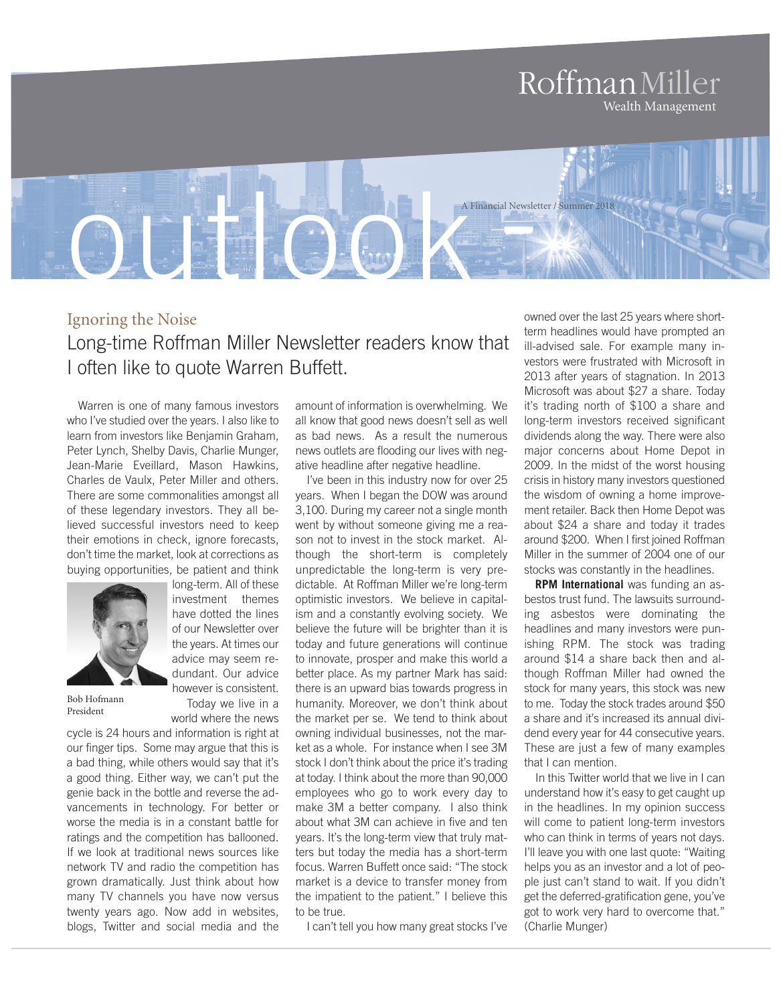# RoffmanMiller Wealth Management

outlook and the contract of A Financial Newsletter / Summer 2018

# Ignoring the Noise Long-time Roffman Miller Newsletter readers know that I often like to quote Warren Buffett.

Warren is one of many famous investors who I've studied over the years. I also like to learn from investors like Benjamin Graham, Peter Lynch, Shelby Davis, Charlie Munger, Jean-Marie Eveillard, Mason Hawkins, Charles de Vaulx, Peter Miller and others. There are some commonalities amongst all of these legendary investors. They all believed successful investors need to keep their emotions in check, ignore forecasts, don't time the market, look at corrections as buying opportunities, be patient and think



long-term. All of these investment themes have dotted the lines of our Newsletter over the years. At times our advice may seem redundant. Our advice however is consistent.

Today we live in a world where the news

Bob Hofmann President

cycle is 24 hours and information is right at our finger tips. Some may argue that this is a bad thing, while others would say that it's a good thing. Either way, we can't put the genie back in the bottle and reverse the advancements in technology. For better or worse the media is in a constant battle for ratings and the competition has ballooned. If we look at traditional news sources like network TV and radio the competition has grown dramatically. Just think about how many TV channels you have now versus twenty years ago. Now add in websites, blogs, Twitter and social media and the

amount of information is overwhelming. We all know that good news doesn't sell as well as bad news. As a result the numerous news outlets are flooding our lives with negative headline after negative headline.

I've been in this industry now for over 25 years. When I began the DOW was around 3,100. During my career not a single month went by without someone giving me a reason not to invest in the stock market. Although the short-term is completely unpredictable the long-term is very predictable. At Roffman Miller we're long-term optimistic investors. We believe in capitalism and a constantly evolving society. We believe the future will be brighter than it is today and future generations will continue to innovate, prosper and make this world a better place. As my partner Mark has said: there is an upward bias towards progress in humanity. Moreover, we don't think about the market per se. We tend to think about owning individual businesses, not the market as a whole. For instance when I see 3M stock I don't think about the price it's trading at today. I think about the more than 90,000 employees who go to work every day to make 3M a better company. I also think about what 3M can achieve in five and ten years. It's the long-term view that truly matters but today the media has a short-term focus. Warren Buffett once said: "The stock market is a device to transfer money from the impatient to the patient." I believe this to be true.

I can't tell you how many great stocks I've

owned over the last 25 years where shortterm headlines would have prompted an ill-advised sale. For example many investors were frustrated with Microsoft in 2013 after years of stagnation. In 2013 Microsoft was about \$27 a share. Today it's trading north of \$100 a share and long-term investors received significant dividends along the way. There were also major concerns about Home Depot in 2009. In the midst of the worst housing crisis in history many investors questioned the wisdom of owning a home improvement retailer. Back then Home Depot was about \$24 a share and today it trades around \$200. When I first joined Roffman Miller in the summer of 2004 one of our stocks was constantly in the headlines.

**RPM International** was funding an asbestos trust fund. The lawsuits surrounding asbestos were dominating the headlines and many investors were punishing RPM. The stock was trading around \$14 a share back then and although Roffman Miller had owned the stock for many years, this stock was new to me. Today the stock trades around \$50 a share and it's increased its annual dividend every year for 44 consecutive years. These are just a few of many examples that I can mention.

In this Twitter world that we live in I can understand how it's easy to get caught up in the headlines. In my opinion success will come to patient long-term investors who can think in terms of years not days. I'll leave you with one last quote: "Waiting helps you as an investor and a lot of people just can't stand to wait. If you didn't get the deferred-gratification gene, you've got to work very hard to overcome that." (Charlie Munger)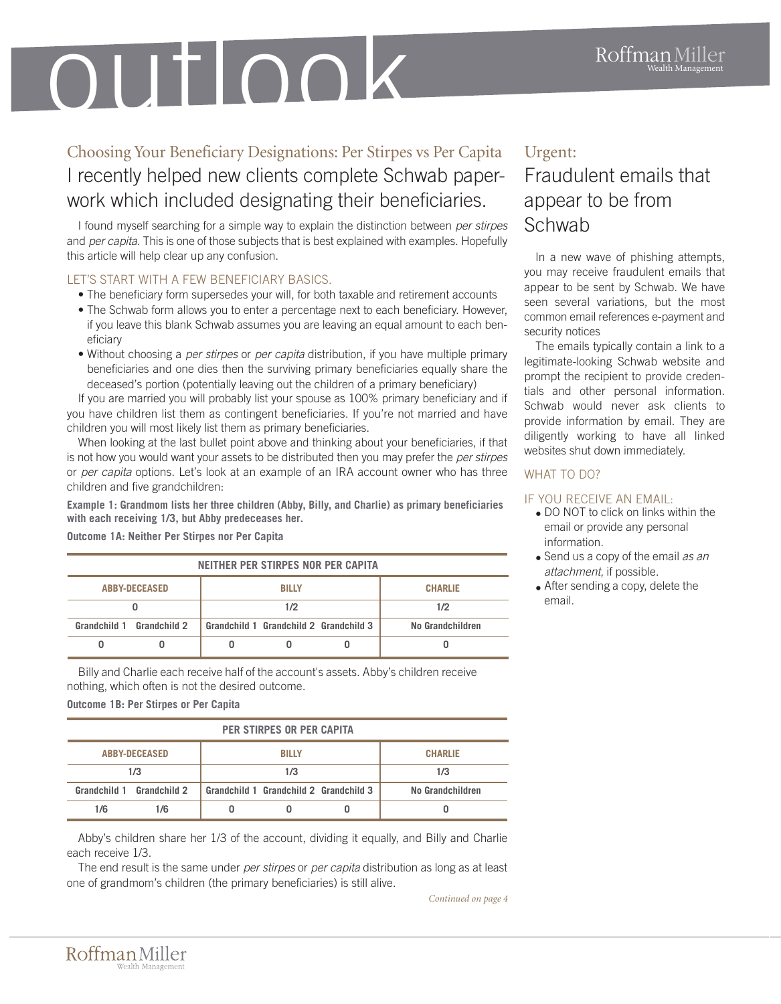# Wealth Management outlook

Choosing Your Beneficiary Designations: Per Stirpes vs Per Capita I recently helped new clients complete Schwab paperwork which included designating their beneficiaries.

I found myself searching for a simple way to explain the distinction between *per stirpes* and *per capita*. This is one of those subjects that is best explained with examples. Hopefully this article will help clear up any confusion.

## LET'S START WITH A FEW BENEFICIARY BASICS.

- The beneficiary form supersedes your will, for both taxable and retirement accounts
- The Schwab form allows you to enter a percentage next to each beneficiary. However, if you leave this blank Schwab assumes you are leaving an equal amount to each beneficiary
- Without choosing a *per stirpes* or *per capita* distribution, if you have multiple primary beneficiaries and one dies then the surviving primary beneficiaries equally share the deceased's portion (potentially leaving out the children of a primary beneficiary)

If you are married you will probably list your spouse as 100% primary beneficiary and if you have children list them as contingent beneficiaries. If you're not married and have children you will most likely list them as primary beneficiaries.

When looking at the last bullet point above and thinking about your beneficiaries, if that is not how you would want your assets to be distributed then you may prefer the *per stirpes* or *per capita* options. Let's look at an example of an IRA account owner who has three children and five grandchildren:

**Example 1: Grandmom lists her three children (Abby, Billy, and Charlie) as primary beneficiaries with each receiving 1/3, but Abby predeceases her.**

**Outcome 1A: Neither Per Stirpes nor Per Capita** 

| NEITHER PER STIRPES NOR PER CAPITA |              |              |                                        |  |                  |  |
|------------------------------------|--------------|--------------|----------------------------------------|--|------------------|--|
| <b>ABBY-DECEASED</b>               |              | <b>BILLY</b> |                                        |  | <b>CHARLIE</b>   |  |
|                                    |              | 1/2          |                                        |  | 1/2              |  |
| Grandchild 1                       | Grandchild 2 |              | Grandchild 1 Grandchild 2 Grandchild 3 |  | No Grandchildren |  |
|                                    |              |              |                                        |  |                  |  |

Billy and Charlie each receive half of the account's assets. Abby's children receive nothing, which often is not the desired outcome.

**Outcome 1B: Per Stirpes or Per Capita**

| PER STIRPES OR PER CAPITA |     |              |                                        |  |                  |
|---------------------------|-----|--------------|----------------------------------------|--|------------------|
| <b>ABBY-DECEASED</b>      |     | <b>BILLY</b> |                                        |  | <b>CHARLIE</b>   |
| 1/3                       |     | 1/3          |                                        |  | 1/3              |
| Grandchild 1 Grandchild 2 |     |              | Grandchild 1 Grandchild 2 Grandchild 3 |  | No Grandchildren |
| 1/6                       | 1/6 |              |                                        |  |                  |

Abby's children share her 1/3 of the account, dividing it equally, and Billy and Charlie each receive 1/3.

The end result is the same under *per stirpes* or *per capita* distribution as long as at least one of grandmom's children (the primary beneficiaries) is still alive.

*Continued on page 4*

## Urgent:

# Fraudulent emails that appear to be from Schwab

In a new wave of phishing attempts, you may receive fraudulent emails that appear to be sent by Schwab. We have seen several variations, but the most common email references e-payment and security notices

The emails typically contain a link to a legitimate-looking Schwab website and prompt the recipient to provide credentials and other personal information. Schwab would never ask clients to provide information by email. They are diligently working to have all linked websites shut down immediately.

### WHAT TO DO?

#### IF YOU RECEIVE AN EMAIL:

- DO NOT to click on links within the email or provide any personal information.
- Send us a copy of the email *as an attachment*, if possible.
- After sending a copy, delete the email.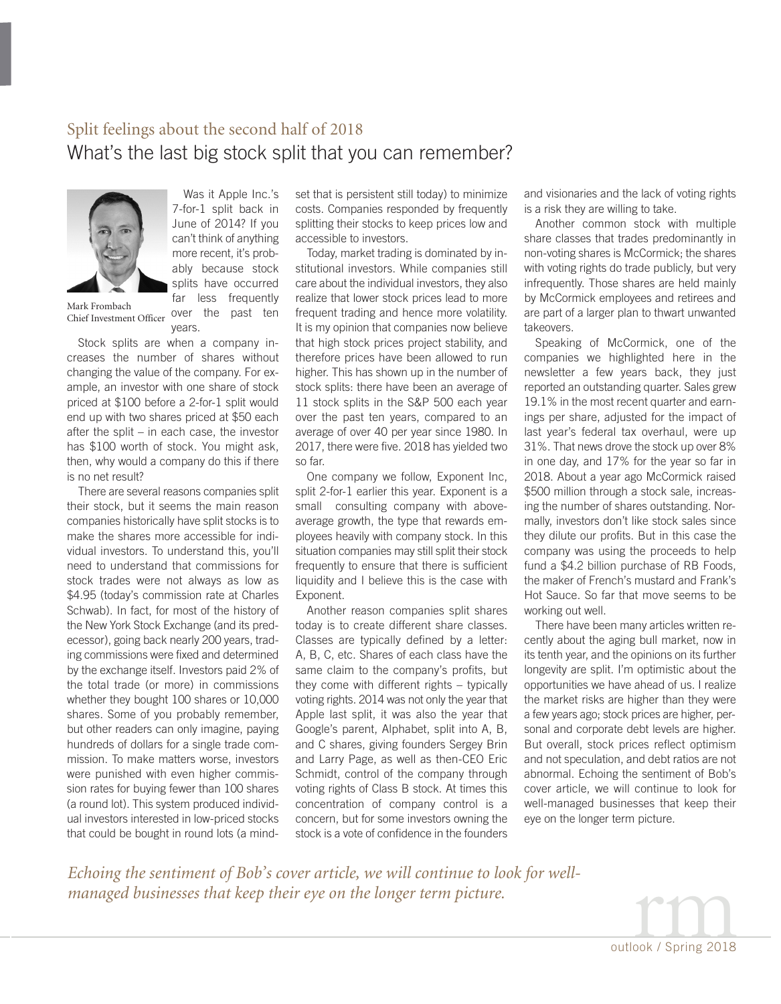## Split feelings about the second half of 2018 What's the last big stock split that you can remember?



Was it Apple Inc.'s 7-for-1 split back in June of 2014? If you can't think of anything more recent, it's probably because stock splits have occurred far less frequently over the past ten

Mark Frombach Chief Investment Officer

Stock splits are when a company increases the number of shares without changing the value of the company. For example, an investor with one share of stock priced at \$100 before a 2-for-1 split would end up with two shares priced at \$50 each after the split – in each case, the investor has \$100 worth of stock. You might ask, then, why would a company do this if there is no net result?

years.

There are several reasons companies split their stock, but it seems the main reason companies historically have split stocks is to make the shares more accessible for individual investors. To understand this, you'll need to understand that commissions for stock trades were not always as low as \$4.95 (today's commission rate at Charles Schwab). In fact, for most of the history of the New York Stock Exchange (and its predecessor), going back nearly 200 years, trading commissions were fixed and determined by the exchange itself. Investors paid 2% of the total trade (or more) in commissions whether they bought 100 shares or 10,000 shares. Some of you probably remember, but other readers can only imagine, paying hundreds of dollars for a single trade commission. To make matters worse, investors were punished with even higher commission rates for buying fewer than 100 shares (a round lot). This system produced individual investors interested in low-priced stocks that could be bought in round lots (a mindset that is persistent still today) to minimize costs. Companies responded by frequently splitting their stocks to keep prices low and accessible to investors.

Today, market trading is dominated by institutional investors. While companies still care about the individual investors, they also realize that lower stock prices lead to more frequent trading and hence more volatility. It is my opinion that companies now believe that high stock prices project stability, and therefore prices have been allowed to run higher. This has shown up in the number of stock splits: there have been an average of 11 stock splits in the S&P 500 each year over the past ten years, compared to an average of over 40 per year since 1980. In 2017, there were five. 2018 has yielded two so far.

One company we follow, Exponent Inc, split 2-for-1 earlier this year. Exponent is a small consulting company with aboveaverage growth, the type that rewards employees heavily with company stock. In this situation companies may still split their stock frequently to ensure that there is sufficient liquidity and I believe this is the case with Exponent.

Another reason companies split shares today is to create different share classes. Classes are typically defined by a letter: A, B, C, etc. Shares of each class have the same claim to the company's profits, but they come with different rights – typically voting rights. 2014 was not only the year that Apple last split, it was also the year that Google's parent, Alphabet, split into A, B, and C shares, giving founders Sergey Brin and Larry Page, as well as then-CEO Eric Schmidt, control of the company through voting rights of Class B stock. At times this concentration of company control is a concern, but for some investors owning the stock is a vote of confidence in the founders

and visionaries and the lack of voting rights is a risk they are willing to take.

Another common stock with multiple share classes that trades predominantly in non-voting shares is McCormick; the shares with voting rights do trade publicly, but very infrequently. Those shares are held mainly by McCormick employees and retirees and are part of a larger plan to thwart unwanted takeovers.

Speaking of McCormick, one of the companies we highlighted here in the newsletter a few years back, they just reported an outstanding quarter. Sales grew 19.1% in the most recent quarter and earnings per share, adjusted for the impact of last year's federal tax overhaul, were up 31%. That news drove the stock up over 8% in one day, and 17% for the year so far in 2018. About a year ago McCormick raised \$500 million through a stock sale, increasing the number of shares outstanding. Normally, investors don't like stock sales since they dilute our profits. But in this case the company was using the proceeds to help fund a \$4.2 billion purchase of RB Foods, the maker of French's mustard and Frank's Hot Sauce. So far that move seems to be working out well.

There have been many articles written recently about the aging bull market, now in its tenth year, and the opinions on its further longevity are split. I'm optimistic about the opportunities we have ahead of us. I realize the market risks are higher than they were a few years ago; stock prices are higher, personal and corporate debt levels are higher. But overall, stock prices reflect optimism and not speculation, and debt ratios are not abnormal. Echoing the sentiment of Bob's cover article, we will continue to look for well-managed businesses that keep their eye on the longer term picture.

*Echoing the sentiment of Bob's cover article, we will continue to look for wellmanaged businesses that keep their eye on the longer term picture.*